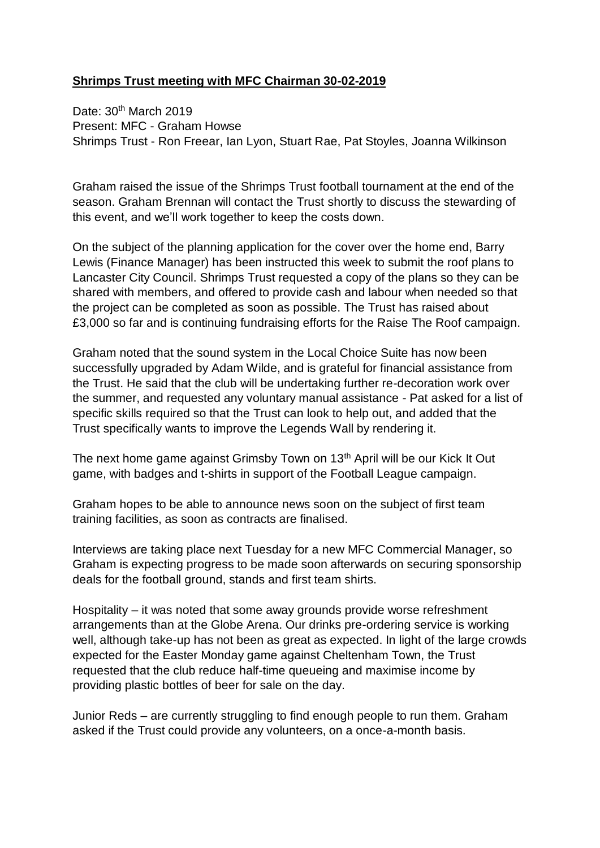## **Shrimps Trust meeting with MFC Chairman 30-02-2019**

Date: 30<sup>th</sup> March 2019 Present: MFC - Graham Howse Shrimps Trust - Ron Freear, Ian Lyon, Stuart Rae, Pat Stoyles, Joanna Wilkinson

Graham raised the issue of the Shrimps Trust football tournament at the end of the season. Graham Brennan will contact the Trust shortly to discuss the stewarding of this event, and we'll work together to keep the costs down.

On the subject of the planning application for the cover over the home end, Barry Lewis (Finance Manager) has been instructed this week to submit the roof plans to Lancaster City Council. Shrimps Trust requested a copy of the plans so they can be shared with members, and offered to provide cash and labour when needed so that the project can be completed as soon as possible. The Trust has raised about £3,000 so far and is continuing fundraising efforts for the Raise The Roof campaign.

Graham noted that the sound system in the Local Choice Suite has now been successfully upgraded by Adam Wilde, and is grateful for financial assistance from the Trust. He said that the club will be undertaking further re-decoration work over the summer, and requested any voluntary manual assistance - Pat asked for a list of specific skills required so that the Trust can look to help out, and added that the Trust specifically wants to improve the Legends Wall by rendering it.

The next home game against Grimsby Town on 13<sup>th</sup> April will be our Kick It Out game, with badges and t-shirts in support of the Football League campaign.

Graham hopes to be able to announce news soon on the subject of first team training facilities, as soon as contracts are finalised.

Interviews are taking place next Tuesday for a new MFC Commercial Manager, so Graham is expecting progress to be made soon afterwards on securing sponsorship deals for the football ground, stands and first team shirts.

Hospitality – it was noted that some away grounds provide worse refreshment arrangements than at the Globe Arena. Our drinks pre-ordering service is working well, although take-up has not been as great as expected. In light of the large crowds expected for the Easter Monday game against Cheltenham Town, the Trust requested that the club reduce half-time queueing and maximise income by providing plastic bottles of beer for sale on the day.

Junior Reds – are currently struggling to find enough people to run them. Graham asked if the Trust could provide any volunteers, on a once-a-month basis.